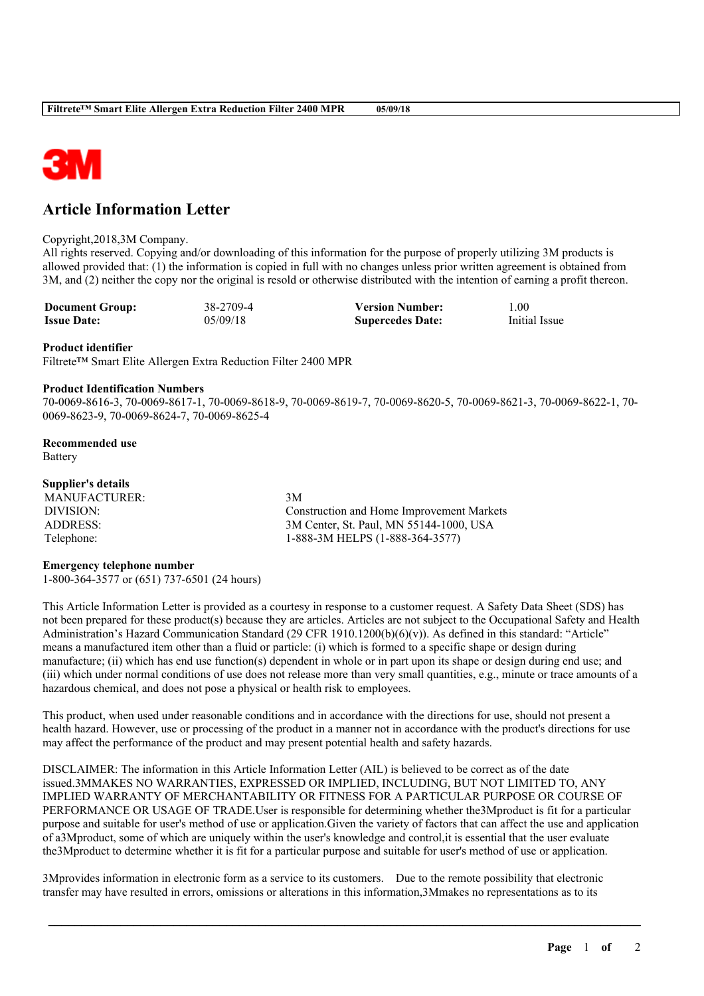

# **Article Information Letter**

#### Copyright,2018,3M Company.

All rights reserved. Copying and/or downloading of this information for the purpose of properly utilizing 3M products is allowed provided that: (1) the information is copied in full with no changes unless prior written agreement is obtained from 3M, and (2) neither the copy nor the original is resold or otherwise distributed with the intention of earning a profit thereon.

| <b>Document Group:</b> | 38-2709-4 | <b>Version Number:</b>  | .00           |
|------------------------|-----------|-------------------------|---------------|
| <b>Issue Date:</b>     | 05/09/18  | <b>Supercedes Date:</b> | Initial Issue |

#### **Product identifier**

Filtrete™ Smart Elite Allergen Extra Reduction Filter 2400 MPR

#### **Product Identification Numbers**

70-0069-8616-3, 70-0069-8617-1, 70-0069-8618-9, 70-0069-8619-7, 70-0069-8620-5, 70-0069-8621-3, 70-0069-8622-1, 70- 0069-8623-9, 70-0069-8624-7, 70-0069-8625-4

**Recommended use** Battery

### **Supplier's details**

MANUFACTURER: 3M

DIVISION: Construction and Home Improvement Markets ADDRESS: 3M Center, St. Paul, MN 55144-1000, USA Telephone: 1-888-3M HELPS (1-888-364-3577)

#### **Emergency telephone number**

1-800-364-3577 or (651) 737-6501 (24 hours)

This Article Information Letter is provided as a courtesy in response to a customer request. A Safety Data Sheet (SDS) has not been prepared for these product(s) because they are articles. Articles are not subject to the Occupational Safety and Health Administration's Hazard Communication Standard (29 CFR 1910.1200(b)(6)(v)). As defined in this standard: "Article" means a manufactured item other than a fluid or particle: (i) which is formed to a specific shape or design during manufacture; (ii) which has end use function(s) dependent in whole or in part upon its shape or design during end use; and (iii) which under normal conditions of use does not release more than very small quantities, e.g., minute or trace amounts of a hazardous chemical, and does not pose a physical or health risk to employees.

This product, when used under reasonable conditions and in accordance with the directions for use, should not present a health hazard. However, use or processing of the product in a manner not in accordance with the product's directions for use may affect the performance of the product and may present potential health and safety hazards.

DISCLAIMER: The information in this Article Information Letter (AIL) is believed to be correct as of the date issued.3MMAKES NO WARRANTIES, EXPRESSED OR IMPLIED, INCLUDING, BUT NOT LIMITED TO, ANY IMPLIED WARRANTY OF MERCHANTABILITY OR FITNESS FOR A PARTICULAR PURPOSE OR COURSE OF PERFORMANCE OR USAGE OF TRADE.User is responsible for determining whether the3Mproduct is fit for a particular purpose and suitable for user's method of use or application.Given the variety of factors that can affect the use and application of a3Mproduct, some of which are uniquely within the user's knowledge and control,it is essential that the user evaluate the3Mproduct to determine whether it is fit for a particular purpose and suitable for user's method of use or application.

\_\_\_\_\_\_\_\_\_\_\_\_\_\_\_\_\_\_\_\_\_\_\_\_\_\_\_\_\_\_\_\_\_\_\_\_\_\_\_\_\_\_\_\_\_\_\_\_\_\_\_\_\_\_\_\_\_\_\_\_\_\_\_\_\_\_\_\_\_\_\_\_\_\_\_\_\_\_\_\_\_\_\_\_\_\_\_\_\_\_

3Mprovides information in electronic form as a service to its customers. Due to the remote possibility that electronic transfer may have resulted in errors, omissions or alterations in this information,3Mmakes no representations as to its